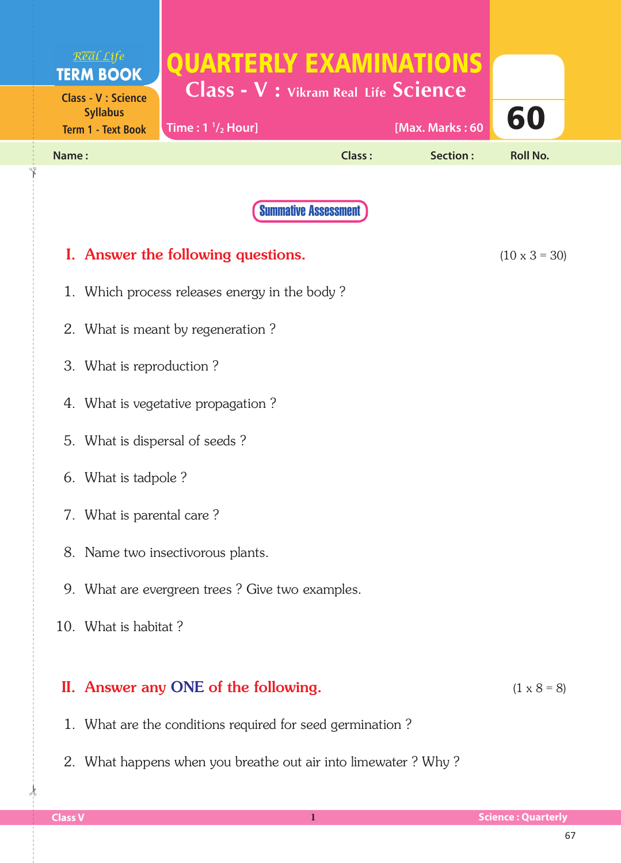|                                    | Real Life<br><b>TERM BOOK</b>                   | <b>QUARTERLY EXAMINATIONS</b>                             |                             |                 |                      |  |
|------------------------------------|-------------------------------------------------|-----------------------------------------------------------|-----------------------------|-----------------|----------------------|--|
|                                    | <b>Class - V : Science</b><br><b>Syllabus</b>   | Class - V : Vikram Real Life Science                      |                             |                 | 60                   |  |
|                                    | <b>Term 1 - Text Book</b>                       | Time: $1 \frac{1}{2}$ Hour]                               |                             | [Max. Marks: 60 |                      |  |
| Name:                              |                                                 |                                                           | <b>Class:</b>               | Section:        | <b>Roll No.</b>      |  |
|                                    |                                                 |                                                           |                             |                 |                      |  |
|                                    |                                                 |                                                           | <b>Summative Assessment</b> |                 |                      |  |
|                                    |                                                 | I. Answer the following questions.                        |                             |                 | $(10 \times 3 = 30)$ |  |
|                                    |                                                 | 1. Which process releases energy in the body?             |                             |                 |                      |  |
| 2. What is meant by regeneration?  |                                                 |                                                           |                             |                 |                      |  |
| 3. What is reproduction?           |                                                 |                                                           |                             |                 |                      |  |
| 4. What is vegetative propagation? |                                                 |                                                           |                             |                 |                      |  |
|                                    | 5. What is dispersal of seeds?                  |                                                           |                             |                 |                      |  |
| 6. What is tadpole?                |                                                 |                                                           |                             |                 |                      |  |
|                                    | 7. What is parental care?                       |                                                           |                             |                 |                      |  |
|                                    | 8. Name two insectivorous plants.               |                                                           |                             |                 |                      |  |
|                                    | 9. What are evergreen trees? Give two examples. |                                                           |                             |                 |                      |  |
|                                    | 10. What is habitat?                            |                                                           |                             |                 |                      |  |
|                                    |                                                 |                                                           |                             |                 |                      |  |
|                                    |                                                 | II. Answer any ONE of the following.                      |                             |                 | $(1 \times 8 = 8)$   |  |
|                                    |                                                 | 1. What are the conditions required for seed germination? |                             |                 |                      |  |

2. What happens when you breathe out air into limewater ? Why ?

 $\frac{1}{2}$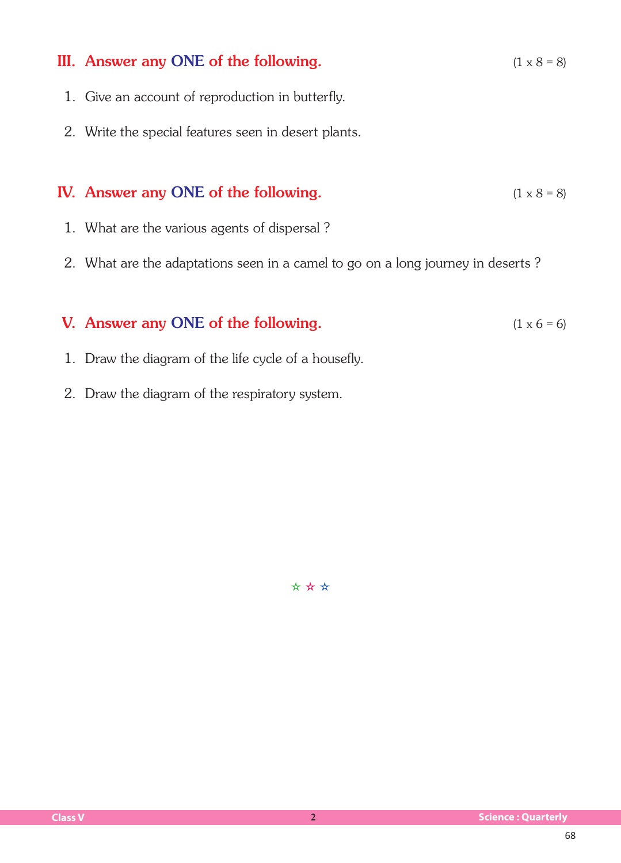## III. Answer any ONE of the following.  $(1 \times 8 = 8)$  1. Give an account of reproduction in butterfly. 2. Write the special features seen in desert plants. IV. Answer any ONE of the following.  $(1 \times 8 = 8)$  1. What are the various agents of dispersal ? 2. What are the adaptations seen in a camel to go on a long journey in deserts ? V. Answer any ONE of the following.  $(1 \times 6 = 6)$

- 1. Draw the diagram of the life cycle of a housefly.
- 2. Draw the diagram of the respiratory system.

✫ ✫ ✫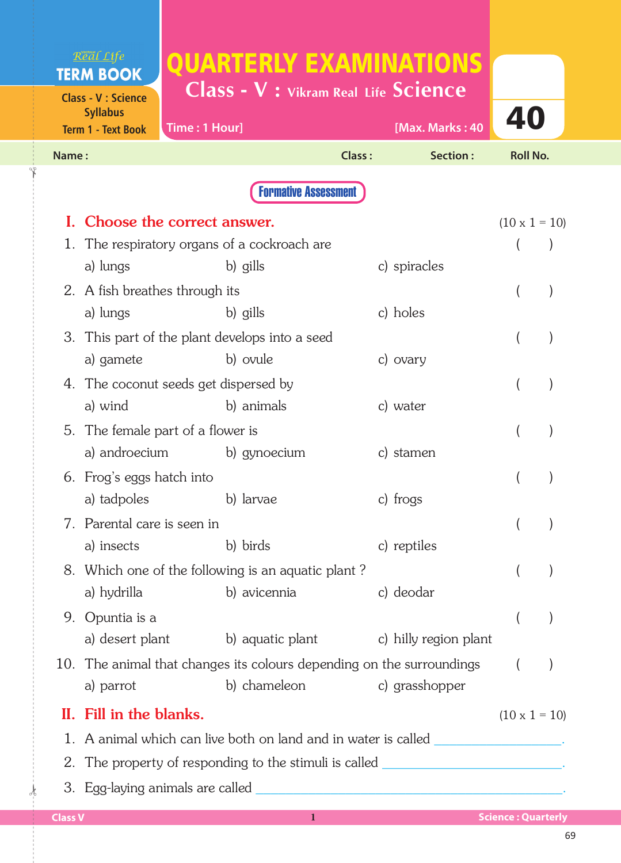| <b>Class - V : Vikram Real Life Science</b><br><b>Class - V : Science</b><br><b>Syllabus</b><br>Time: 1 Hour]<br><b>Term 1 - Text Book</b><br>Class:<br>Name:<br><b>Formative Assessment</b><br>Choose the correct answer.<br>The respiratory organs of a cockroach are<br>1. | [Max. Marks: 40<br>Section:<br>c) spiracles | 40<br><b>Roll No.</b><br>$(10 \times 1 = 10)$ |
|-------------------------------------------------------------------------------------------------------------------------------------------------------------------------------------------------------------------------------------------------------------------------------|---------------------------------------------|-----------------------------------------------|
|                                                                                                                                                                                                                                                                               |                                             |                                               |
|                                                                                                                                                                                                                                                                               |                                             |                                               |
|                                                                                                                                                                                                                                                                               |                                             |                                               |
|                                                                                                                                                                                                                                                                               |                                             |                                               |
|                                                                                                                                                                                                                                                                               |                                             |                                               |
| b) gills<br>a) lungs                                                                                                                                                                                                                                                          |                                             |                                               |
| 2. A fish breathes through its                                                                                                                                                                                                                                                |                                             | $\mathcal{E}$                                 |
| a) lungs<br>b) gills                                                                                                                                                                                                                                                          | c) holes                                    |                                               |
| 3. This part of the plant develops into a seed                                                                                                                                                                                                                                |                                             |                                               |
| a) gamete<br>b) ovule                                                                                                                                                                                                                                                         | c) ovary                                    |                                               |
| 4. The coconut seeds get dispersed by                                                                                                                                                                                                                                         |                                             |                                               |
| b) animals<br>a) wind                                                                                                                                                                                                                                                         | c) water                                    |                                               |
| 5. The female part of a flower is                                                                                                                                                                                                                                             |                                             |                                               |
| a) androecium b) gynoecium                                                                                                                                                                                                                                                    | c) stamen                                   |                                               |
| 6. Frog's eggs hatch into                                                                                                                                                                                                                                                     |                                             |                                               |
| a) tadpoles<br>b) larvae                                                                                                                                                                                                                                                      | c) frogs                                    |                                               |
| 7. Parental care is seen in                                                                                                                                                                                                                                                   |                                             |                                               |
| b) birds<br>a) insects                                                                                                                                                                                                                                                        | c) reptiles                                 |                                               |
| 8. Which one of the following is an aquatic plant?                                                                                                                                                                                                                            |                                             |                                               |
| a) hydrilla<br>b) avicennia                                                                                                                                                                                                                                                   | c) deodar                                   |                                               |
| Opuntia is a<br>9.                                                                                                                                                                                                                                                            |                                             |                                               |
| a) desert plant b) aquatic plant c) hilly region plant                                                                                                                                                                                                                        |                                             |                                               |
| 10. The animal that changes its colours depending on the surroundings                                                                                                                                                                                                         |                                             | $\left($                                      |
| b) chameleon c) grasshopper<br>a) parrot                                                                                                                                                                                                                                      |                                             |                                               |
| II. Fill in the blanks.                                                                                                                                                                                                                                                       |                                             | $(10 \times 1 = 10)$                          |
| 1. A animal which can live both on land and in water is called _________________.                                                                                                                                                                                             |                                             |                                               |
| 2. The property of responding to the stimuli is called ________________________.                                                                                                                                                                                              |                                             |                                               |
|                                                                                                                                                                                                                                                                               |                                             |                                               |
| <b>Class V</b><br>$\bf{1}$                                                                                                                                                                                                                                                    |                                             |                                               |

 $\frac{1}{2}$ 

✁